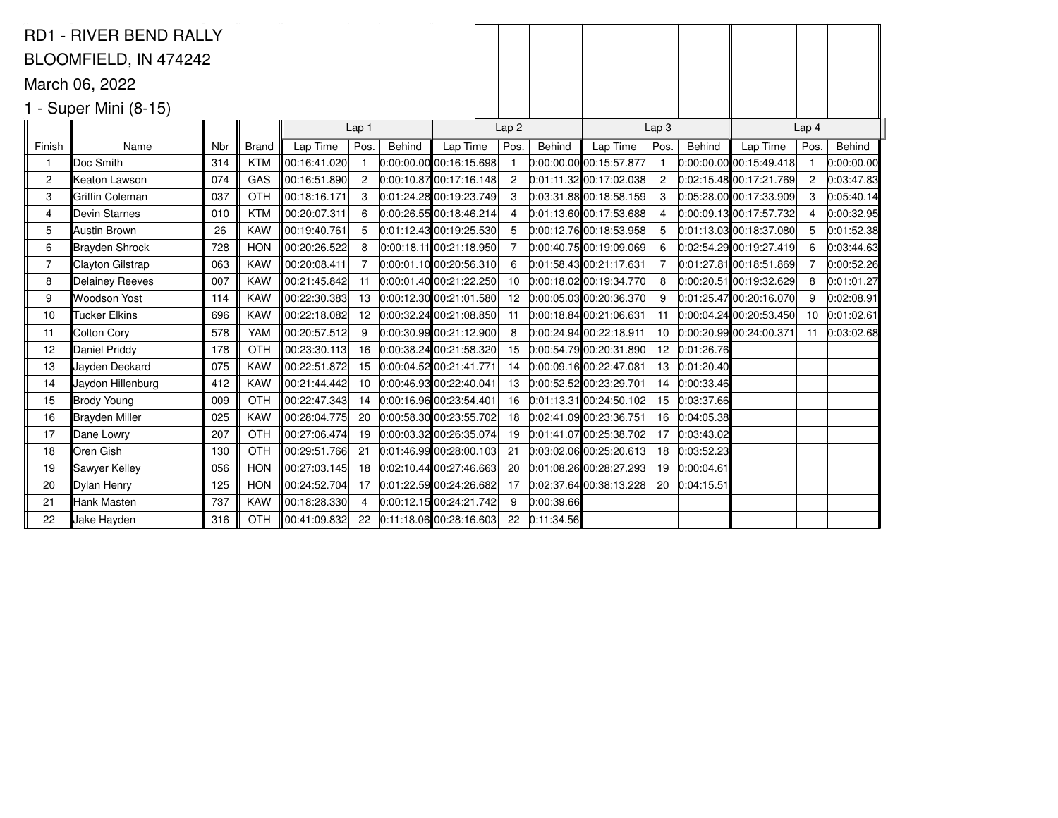|                                           | <b>RD1 - RIVER BEND RALLY</b> |     |              |               |                   |        |                             |                          |            |                             |                  |            |                             |       |            |
|-------------------------------------------|-------------------------------|-----|--------------|---------------|-------------------|--------|-----------------------------|--------------------------|------------|-----------------------------|------------------|------------|-----------------------------|-------|------------|
|                                           | BLOOMFIELD, IN 474242         |     |              |               |                   |        |                             |                          |            |                             |                  |            |                             |       |            |
|                                           | March 06, 2022                |     |              |               |                   |        |                             |                          |            |                             |                  |            |                             |       |            |
|                                           |                               |     |              |               |                   |        |                             |                          |            |                             |                  |            |                             |       |            |
| 1 - Super Mini (8-15)<br>Lap <sub>1</sub> |                               |     |              |               |                   |        |                             |                          |            |                             | Lap <sub>3</sub> |            |                             | Lap 4 |            |
| Finish                                    | Name                          | Nbr | <b>Brand</b> | Lap Time      | Pos.              | Behind | Lap Time                    | Lap <sub>2</sub><br>Pos. | Behind     | Lap Time                    | Pos.             | Behind     | Lap Time                    | Pos.  | Behind     |
|                                           | Doc Smith                     | 314 | <b>KTM</b>   | 00:16:41.020  | $\mathbf{1}$      |        | $0:00:00.00$ 00:16:15.698   |                          |            | $0:00:00.00$ 00:15:57.877   | $\mathbf{1}$     |            | $[0:00:00.00]$ 00:15:49.418 | - 1   | 0:00:00.00 |
| 2                                         | Keaton Lawson                 | 074 | GAS          | 100:16:51.890 | $\mathbf{2}$      |        | $[0:00:10.87]$ 00:17:16.148 | 2                        |            | $[0.01:11.32]$ 00:17:02.038 | 2                |            | 0:02:15.48 00:17:21.769     | -2    | 0:03:47.83 |
| 3                                         | Griffin Coleman               | 037 | <b>OTH</b>   | 00:18:16.171  | 3                 |        | $0:01:24.28$ 00:19:23.749   | 3                        |            | $0:03:31.88$ 00:18:58.159   | 3                |            | 0.05:28.0000:17:33.909      | 3     | 0:05:40.14 |
| 4                                         | Devin Starnes                 | 010 | <b>KTM</b>   | 00:20:07.311  | 6                 |        | 0:00:26.5500:18:46.214      |                          |            | $0:01:13.60$ 00:17:53.688   | 4                |            | $[0:00:09.13]$ 00:17:57.732 | 4     | 0:00:32.95 |
| 5                                         | Austin Brown                  | 26  | <b>KAW</b>   | ∥00:19:40.761 | 5                 |        | $0:01:12.43$ 00:19:25.530   | 5                        |            | 0:00:12.7600:18:53.958      | 5                |            | $0:01:13.03$ 00:18:37.080   | 5     | 0:01:52.38 |
| 6                                         | Brayden Shrock                | 728 | <b>HON</b>   | 00:20:26.522  | 8                 |        | $0:00:18.11$ 00:21:18.950   |                          |            | 0:00:40.7500:19:09.069      | 6                |            | 0:02:54.29 00:19:27.419     | 6     | 0:03:44.63 |
| $\overline{7}$                            | Clayton Gilstrap              | 063 | <b>KAW</b>   | 00:20:08.411  | 7                 |        | 0:00:01.1000:20:56.310      | 6                        |            | 0:01:58.43 00:21:17.631     | $\overline{7}$   |            | 0:01:27.81 00:18:51.869     | -7    | 0:00:52.26 |
| 8                                         | <b>Delainey Reeves</b>        | 007 | <b>KAW</b>   | 00:21:45.842  | 11                |        | 0:00:01.4000:21:22.250      | 10                       |            | $0:00:18.02$ 00:19:34.770   | 8                |            | $0:00:20.51$ 00:19:32.629   | 8     | 0:01:01.27 |
| 9                                         | <b>Woodson Yost</b>           | 114 | <b>KAW</b>   | 100:22:30.383 | 13                |        | $0:00:12.30$ 00:21:01.580   |                          |            | 12 0:00:05.03 00:20:36.370  | 9                |            | 0:01:25.4700:20:16.070      | -9    | 0:02:08.91 |
| 10                                        | <b>Tucker Elkins</b>          | 696 | <b>KAW</b>   | 00:22:18.082  | $12 \overline{ }$ |        | 0:00:32.2400:21:08.850      | -11                      |            | 0:00:18.84 00:21:06.631     | 11               |            | $0:00:04.24$ 00:20:53.450   | 10    | 0:01:02.61 |
| 11                                        | Colton Cory                   | 578 | <b>YAM</b>   | 00:20:57.512  | 9                 |        | 0:00:30.9900:21:12.900      | 8                        |            | $0:00:24.94$ 00:22:18.911   | 10               |            | 0:00:20.99 00:24:00.371     | 11    | 0:03:02.68 |
| 12                                        | Daniel Priddy                 | 178 | <b>OTH</b>   | ∥00:23:30.113 | 16                |        | $0:00:38.24$ 00:21:58.320   | 15                       |            | 0:00:54.7900:20:31.890      | 12 <sup>12</sup> | 0:01:26.76 |                             |       |            |
| 13                                        | Jayden Deckard                | 075 | <b>KAW</b>   | 00:22:51.872  | 15                |        | 0:00:04.52 00:21:41.771     | 14                       |            | 0:00:09.16 00:22:47.081     | 13               | 0:01:20.40 |                             |       |            |
| 14                                        | Jaydon Hillenburg             | 412 | <b>KAW</b>   | 100:21:44.442 | 10                |        | $0.00:46.93$ 00:22:40.041   | 13                       |            | 0:00:52.52 00:23:29.701     | 14               | 0:00:33.46 |                             |       |            |
| 15                                        | Brody Young                   | 009 | <b>OTH</b>   | 00:22:47.343  | 14                |        | 0:00:16.96 00:23:54.401     | 16                       |            | $0:01:13.31$ 00:24:50.102   | 15               | 0:03:37.66 |                             |       |            |
| 16                                        | Brayden Miller                | 025 | <b>KAW</b>   | 00:28:04.775  | 20                |        | 0:00:58.30 00:23:55.702     | 18                       |            | 0:02:41.09 00:23:36.751     | 16               | 0:04:05.38 |                             |       |            |
| 17                                        | Dane Lowry                    | 207 | OTH          | 00:27:06.474  | 19                |        | $0:00:03.32$ 00:26:35.074   | 19                       |            | $[0.01.41.07]$ 00:25:38.702 | 17               | 0:03:43.02 |                             |       |            |
| 18                                        | Oren Gish                     | 130 | <b>OTH</b>   | 00:29:51.766  | 21                |        | $[0.01:46.99]$ 00:28:00.103 | -21                      |            | $0:03:02.06$ 00:25:20.613   | 18               | 0:03:52.23 |                             |       |            |
| 19                                        | Sawyer Kelley                 | 056 | <b>HON</b>   | 00:27:03.145  | 18                |        | $0:02:10.44$ 00:27:46.663   | 20                       |            | $0:01:08.26$ 00:28:27.293   | 19               | 0:00:04.61 |                             |       |            |
| 20                                        | Dylan Henry                   | 125 | <b>HON</b>   | ∥00:24:52.704 | 17                |        | 0:01:22.5900:24:26.682      | 17                       |            | $0:02:37.64$ 00:38:13.228   | 20               | 0:04:15.51 |                             |       |            |
| 21                                        | Hank Masten                   | 737 | <b>KAW</b>   | 00:18:28.330  | 4                 |        | 0:00:12.1500:24:21.742      | 9                        | 0:00:39.66 |                             |                  |            |                             |       |            |
| 22                                        | Jake Hayden                   | 316 | <b>OTH</b>   | 00:41:09.832  | 22                |        | 0.11:18.06 00:28:16.603     | 22                       | 0:11:34.56 |                             |                  |            |                             |       |            |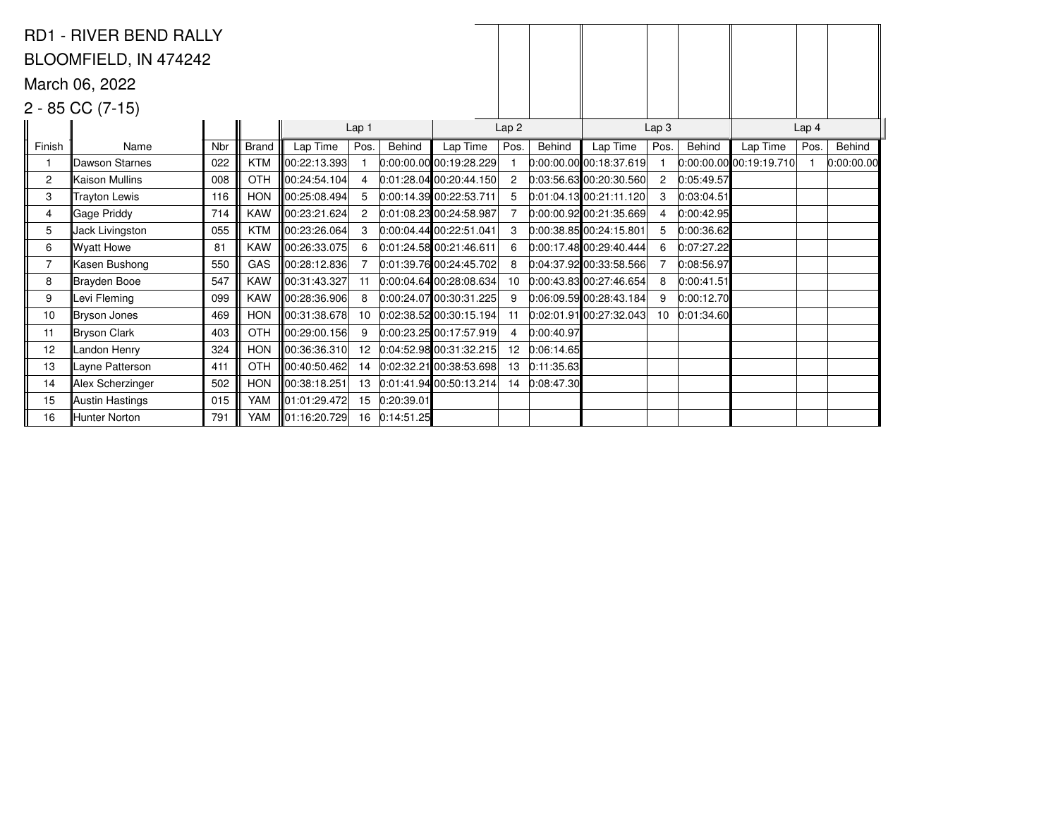|        | <b>RD1 - RIVER BEND RALLY</b> |     |              |               |                |               |                             |                  |               |                           |                  |            |                           |      |            |  |
|--------|-------------------------------|-----|--------------|---------------|----------------|---------------|-----------------------------|------------------|---------------|---------------------------|------------------|------------|---------------------------|------|------------|--|
|        | BLOOMFIELD, IN 474242         |     |              |               |                |               |                             |                  |               |                           |                  |            |                           |      |            |  |
|        | March 06, 2022                |     |              |               |                |               |                             |                  |               |                           |                  |            |                           |      |            |  |
|        | $2 - 85 CC (7-15)$            |     |              |               |                |               |                             |                  |               |                           |                  |            |                           |      |            |  |
|        |                               |     |              |               | Lap 1          |               |                             | Lap <sub>2</sub> |               |                           | Lap <sub>3</sub> |            | Lap <sub>4</sub>          |      |            |  |
| Finish | Name                          | Nbr | <b>Brand</b> | Lap Time      | Pos.           | Behind        | Lap Time                    | Pos.             | Behind        | Lap Time                  | Pos.             | Behind     | Lap Time                  | Pos. | Behind     |  |
|        | Dawson Starnes                | 022 | <b>KTM</b>   | 00:22:13.393  |                |               | $0:00:00.00$ 00:19:28.229   |                  |               | $0:00:00.00$ 00:18:37.619 |                  |            | $0:00:00.00$ 00:19:19.710 |      | 0:00:00.00 |  |
| 2      | Kaison Mullins                | 008 | OTH          | ∥00:24:54.104 | 4              |               | $[0.01:28.04]$ 00:20:44.150 | $\overline{2}$   |               | $0.03:56.63$ 00:20:30.560 | $\overline{2}$   | 0:05:49.57 |                           |      |            |  |
| 3      | <b>Trayton Lewis</b>          | 116 | <b>HON</b>   | 100:25:08.494 | 5              |               | 0:00:14.39 00:22:53.711     |                  |               | 0:01:04.13 00:21:11.120   | 3                | 0:03:04.51 |                           |      |            |  |
| 4      | Gage Priddy                   | 714 | <b>KAW</b>   | 00:23:21.624  | $\overline{c}$ |               | 0:01:08.23 00:24:58.987     |                  |               | $0:00:00.92$ 00:21:35.669 | 4                | 0:00:42.95 |                           |      |            |  |
| 5      | Jack Livingston               | 055 | <b>KTM</b>   | 00:23:26.064  | 3              |               | $0:00:04.44$ 00:22:51.041   |                  |               | 0:00:38.85 00:24:15.801   | 5                | 0:00:36.62 |                           |      |            |  |
| 6      | Wyatt Howe                    | 81  | <b>KAW</b>   | 00:26:33.075  | 6              |               | 0.01:24.5800:21:46.611      | 6                |               | 0:00:17.48 00:29:40.444   | 6                | 0:07:27.22 |                           |      |            |  |
| 7      | Kasen Bushong                 | 550 | GAS          | 00:28:12.836  | 7              |               | 0.01:39.7600:24:45.702      | 8                |               | $0:04:37.92$ 00:33:58.566 | $\overline{7}$   | 0:08:56.97 |                           |      |            |  |
| 8      | Brayden Booe                  | 547 | <b>KAW</b>   | 00:31:43.327  | 11             |               | 0:00:04.64 00:28:08.634     | 10               |               | $0:00:43.83$ 00:27:46.654 | 8                | 0:00:41.51 |                           |      |            |  |
| 9      | Levi Fleming                  | 099 | KAW          | 00:28:36.906  | 8              |               | $[0.00.24.07]$ 00:30:31.225 | 9                |               | 0.06.09.5900.28.43.184    | 9                | 0:00:12.70 |                           |      |            |  |
| 10     | Bryson Jones                  | 469 | <b>HON</b>   | 00:31:38.678  | 10             |               | 0.02:38.52 00:30:15.194     |                  |               | $0:02:01.91$ 00:27:32.043 | 10 <sup>1</sup>  | 0:01:34.60 |                           |      |            |  |
| 11     | Bryson Clark                  | 403 | <b>OTH</b>   | 00:29:00.156  | 9              |               | $[0:00:23.25]$ 00:17:57.919 |                  | 0:00:40.97    |                           |                  |            |                           |      |            |  |
| 12     | Landon Henry                  | 324 | <b>HON</b>   | 00:36:36.310  | 12             |               | $0.04:52.98$ 00:31:32.215   | 12 <sup>2</sup>  | 0:06:14.65    |                           |                  |            |                           |      |            |  |
| 13     | Layne Patterson               | 411 | OTH          | 00:40:50.462  | 14             |               | 0.02:32.2100:38:53.698      | 13               | 0:11:35.63    |                           |                  |            |                           |      |            |  |
| 14     | Alex Scherzinger              | 502 | <b>HON</b>   | 00:38:18.251  | 13             |               | $0:01:41.94$ 00:50:13.214   |                  | 14 0:08:47.30 |                           |                  |            |                           |      |            |  |
| 15     | Austin Hastings               | 015 | <b>YAM</b>   | 01:01:29.472  | 15             | 0:20:39.01    |                             |                  |               |                           |                  |            |                           |      |            |  |
| 16     | Hunter Norton                 | 791 | YAM          | 01:16:20.729  |                | 16 0:14:51.25 |                             |                  |               |                           |                  |            |                           |      |            |  |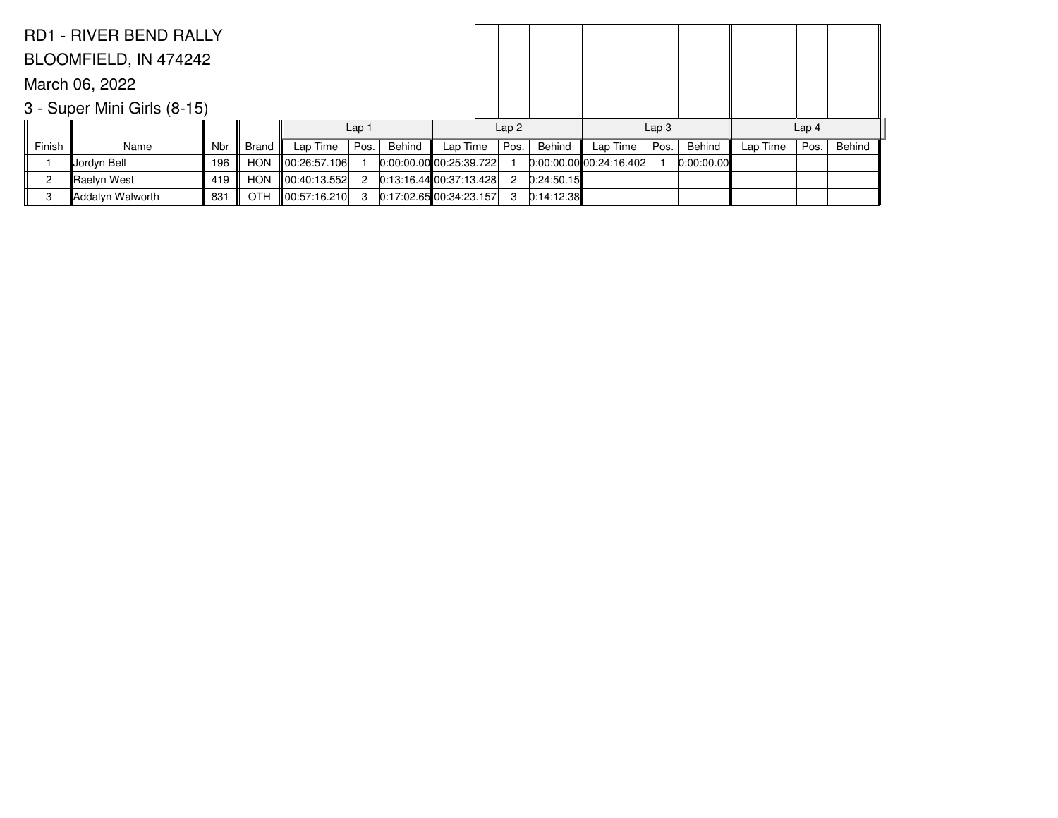|                | <b>RD1 - RIVER BEND RALLY</b> |     |            |               |                  |        |                           |                |            |                        |                  |            |          |                  |        |
|----------------|-------------------------------|-----|------------|---------------|------------------|--------|---------------------------|----------------|------------|------------------------|------------------|------------|----------|------------------|--------|
|                | BLOOMFIELD, IN 474242         |     |            |               |                  |        |                           |                |            |                        |                  |            |          |                  |        |
| March 06, 2022 |                               |     |            |               |                  |        |                           |                |            |                        |                  |            |          |                  |        |
|                | 3 - Super Mini Girls (8-15)   |     |            |               |                  |        |                           |                |            |                        |                  |            |          |                  |        |
|                |                               |     |            |               | Lap <sub>1</sub> |        |                           | Lap2           |            |                        | Lap <sub>3</sub> |            |          | Lap <sub>4</sub> |        |
| Finish         | Name                          | Nbr | Brand      | Lap Time      | Pos.             | Behind | Lap Time                  | Pos.           | Behind     | Lap Time               | Pos.             | Behind     | Lap Time | Pos.             | Behind |
|                | Jordyn Bell                   | 196 | <b>HON</b> | 00:26:57.106  |                  |        | $0:00:00.00$ 00:25:39.722 |                |            | 0.00.00.0000024:16.402 |                  | 0:00:00.00 |          |                  |        |
| 2              | Raelyn West                   | 419 | <b>HON</b> | ∥00:40:13.552 |                  |        | $0:13:16.44$ 00:37:13.428 | $\overline{2}$ | 0:24:50.15 |                        |                  |            |          |                  |        |
| 3              | Addalyn Walworth              | 831 | <b>OTH</b> | ∥00:57:16.210 | 3                |        | $0:17:02.65$ 00:34:23.157 | 3              | 0:14:12.38 |                        |                  |            |          |                  |        |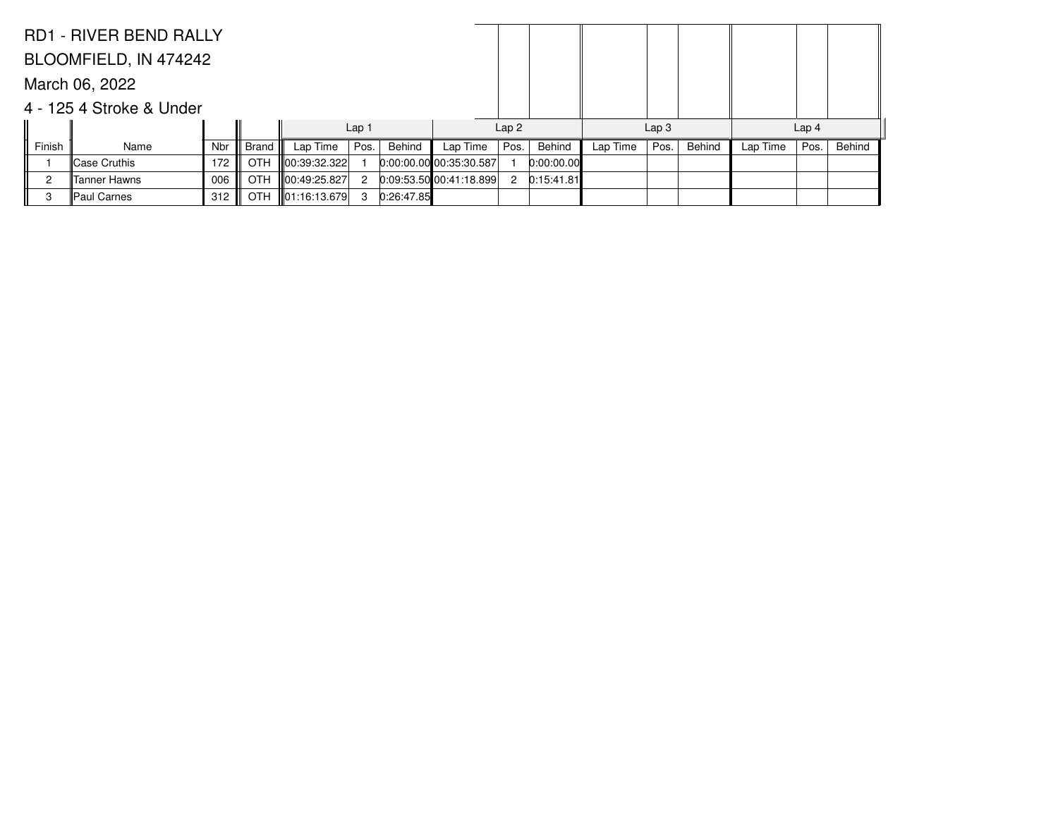|        | <b>RD1 - RIVER BEND RALLY</b> |     |            |               |                  |            |                         |              |            |          |                  |        |          |                  |        |
|--------|-------------------------------|-----|------------|---------------|------------------|------------|-------------------------|--------------|------------|----------|------------------|--------|----------|------------------|--------|
|        | BLOOMFIELD, IN 474242         |     |            |               |                  |            |                         |              |            |          |                  |        |          |                  |        |
|        | March 06, 2022                |     |            |               |                  |            |                         |              |            |          |                  |        |          |                  |        |
|        | 4 - 125 4 Stroke & Under      |     |            |               |                  |            |                         |              |            |          |                  |        |          |                  |        |
|        |                               |     |            |               | Lap <sub>1</sub> |            |                         | Lap2         |            |          | Lap <sub>3</sub> |        |          | Lap <sub>4</sub> |        |
| Finish | Name                          | Nbr | Brand      | Lap Time      | Pos.             | Behind     | Lap Time                | Pos.         | Behind     | Lap Time | Pos.             | Behind | Lap Time | Pos.             | Behind |
|        | ∥Case Cruthis                 | 172 | <b>OTH</b> | ∥00:39:32.322 |                  |            | 0:00:00.00 00:35:30.587 |              | 0:00:00.00 |          |                  |        |          |                  |        |
| 2      | lTanner Hawns                 | 006 | <b>OTH</b> | 00:49:25.827  |                  |            | 0.09:53.50 00:41:18.899 | $\mathbf{2}$ | 0:15:41.81 |          |                  |        |          |                  |        |
| 3      | Paul Carnes                   | 312 | <b>OTH</b> | 01:16:13.679  | 3                | 0:26:47.85 |                         |              |            |          |                  |        |          |                  |        |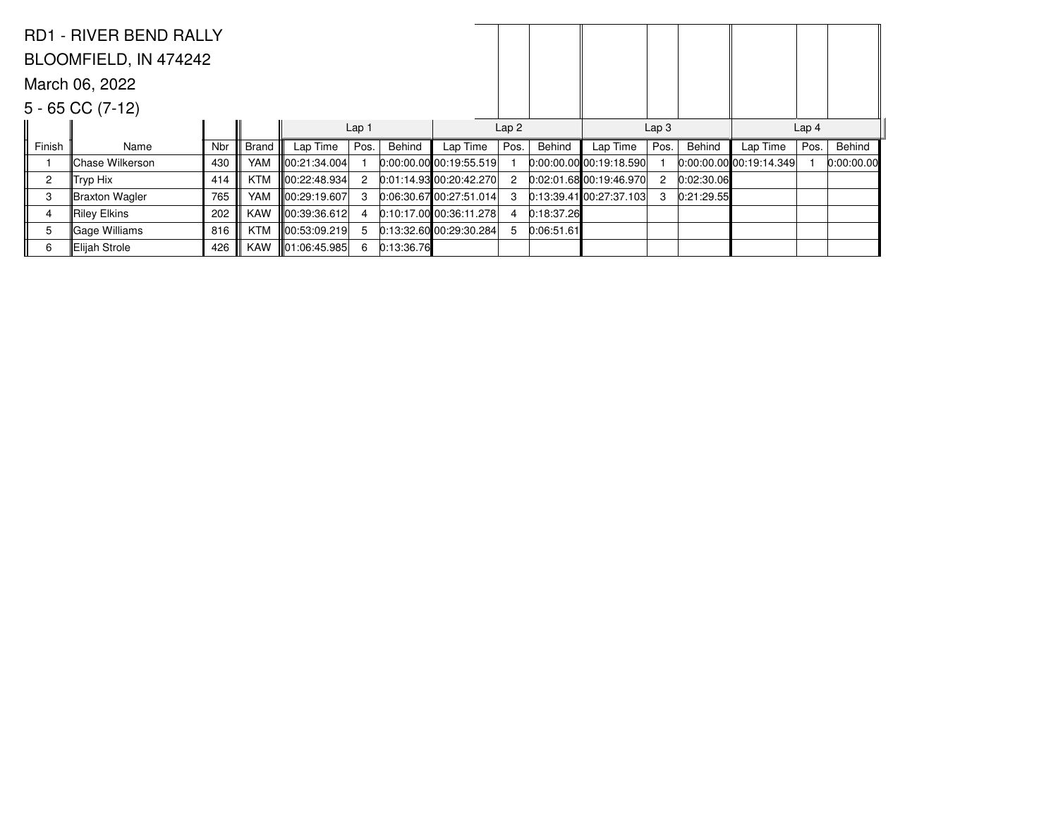|                | <b>RD1 - RIVER BEND RALLY</b> |     |              |              |                  |            |                           |                  |            |                           |                      |            |                           |      |            |
|----------------|-------------------------------|-----|--------------|--------------|------------------|------------|---------------------------|------------------|------------|---------------------------|----------------------|------------|---------------------------|------|------------|
|                | BLOOMFIELD, IN 474242         |     |              |              |                  |            |                           |                  |            |                           |                      |            |                           |      |            |
|                | March 06, 2022                |     |              |              |                  |            |                           |                  |            |                           |                      |            |                           |      |            |
|                | $5 - 65$ CC $(7-12)$          |     |              |              |                  |            |                           |                  |            |                           |                      |            |                           |      |            |
|                |                               |     |              |              | Lap <sub>1</sub> |            |                           | Lap <sub>2</sub> |            |                           | Lap <sub>3</sub>     |            | Lap <sub>4</sub>          |      |            |
| Finish         | Name                          | Nbr | <b>Brand</b> | Lap Time     | Pos.             | Behind     | Lap Time                  | Pos.             | Behind     | Lap Time                  | Pos.                 | Behind     | Lap Time                  | Pos. | Behind     |
|                | Chase Wilkerson               | 430 | YAM          | 00:21:34.004 |                  |            | $0:00:00.00$ 00:19:55.519 |                  |            | $0:00:00.00$ 00:19:18.590 |                      |            | $0:00:00.00$ 00:19:14.349 |      | 0:00:00.00 |
| $\overline{2}$ | Tryp Hix                      | 414 | <b>KTM</b>   | 00:22:48.934 | 2                |            | $0.01:14.93$ 00:20:42.270 |                  |            | $0.02:01.68$ 00:19:46.970 | $\mathbf{2}^{\circ}$ | 0:02:30.06 |                           |      |            |
| 3              | Braxton Wagler                | 765 | <b>YAM</b>   | 00:29:19.607 | 3                |            | 0:06:30.6700:27:51.014    |                  |            | 0:13:39.41[00:27:37.103]  | 3                    | 0:21:29.55 |                           |      |            |
| 4              | Riley Elkins                  | 202 | <b>KAW</b>   | 00:39:36.612 | 4                |            | $0:10:17.00$ 00:36:11.278 |                  | 0:18:37.26 |                           |                      |            |                           |      |            |
| 5              | Gage Williams                 | 816 | <b>KTM</b>   | 00:53:09.219 | 5                |            | $0:13:32.60$ 00:29:30.284 |                  | 0:06:51.61 |                           |                      |            |                           |      |            |
| 6              | ∥Elijah Strole                | 426 | <b>KAW</b>   | 01:06:45.985 | 6                | 0:13:36.76 |                           |                  |            |                           |                      |            |                           |      |            |